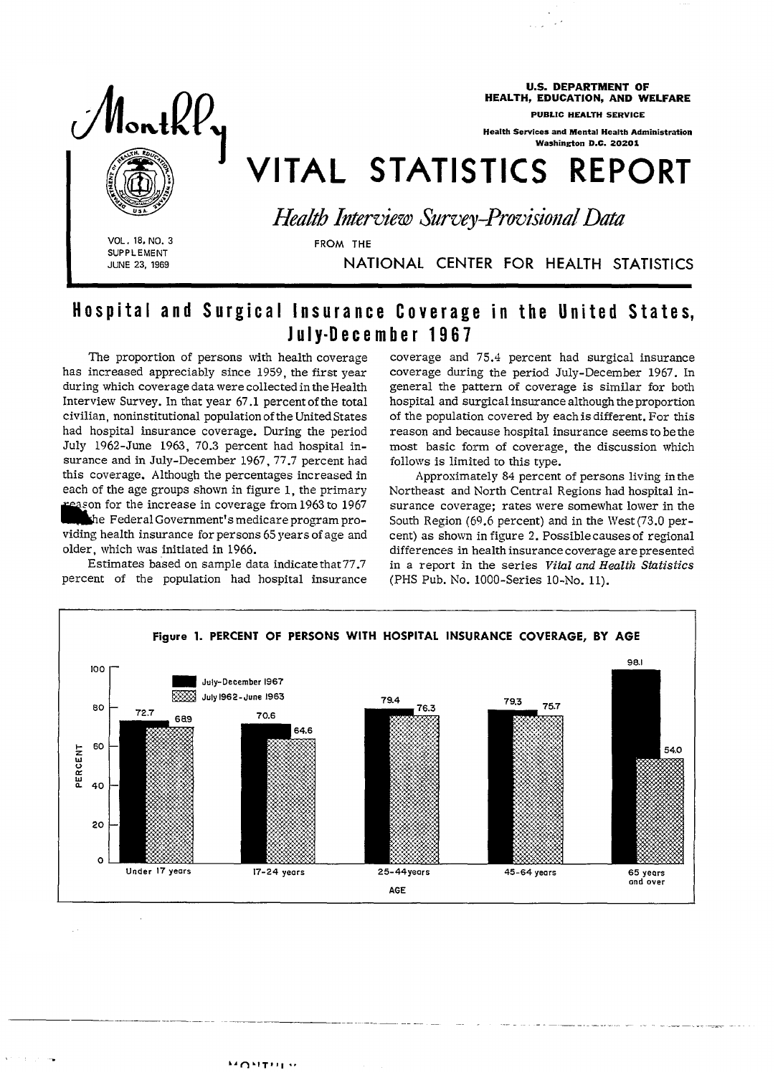

U.S. DEPARTMENT OF HEALTH, EDUCATION, AND WELFARE

PUBLIC HEALTH SERVICE

,.

Health Services and Mental Health Administration Washington D.C. 20201

VITAL STATISTICS REPORT

VOL. 18, NO. 3 FROM THE SUPPLEMENT **JUNE 23, 1969** 

I

*Health Interview Survey-Provisional Data* 

NATIONAL CENTER FOR HEALTH STATISTICS

## Hospital and Surgical Insurance Coverage in the United States, July-December 1967

The proportion of persons with health coverage has increased appreciably since 1959, the first year during which coverage data were collected in the Health Interview Survey. In that year 67.1 percent of the total civilian, noninstitutional population of the United States had hospital insurance coverage. During the period July 1962-June 1963, 70.3 percent had hospital insurance and in July-December 1967, 77.7 percent had this coverage. Although the percentages increased in each of the age groups shown in figure 1, the primary son for the increase in coverage from 1963 to 1967 the Federal Government's medicare program providing health insurance *for* persons 65 years of age and older, which was initiated in 1966.

Estimates based on sample data indicate that 77.7 percent of the population had hospital insurance coverage and 75.4 percent had surgical insurance coverage during the period July-December 1967. In general the pattern of coverage is similar for both hospital and surgical insurance although the proportion of the population covered by eachisdifferent. For this reason and because hospital insurance seems to bethe most basic form of coverage, the discussion which follows is limited to this type.

Approximately 84 percent of persons living inthe Northeast and North Central Regions had hospital insurance coverage; rates were somewhat lower in the South Region (69.6 percent) and in the West (73.0 percent) as shown in figure 2. Possible causes of regional differences in health insurance coverage are presented in a report in the series *Vitul and Health Statistics*  (PHS Pub. No. 1000-Series 1O-NO. 11).

— .. —\_\_ .\_\_. \_—. .. . \_\_T\_ \_\_\_\_\_\_\_

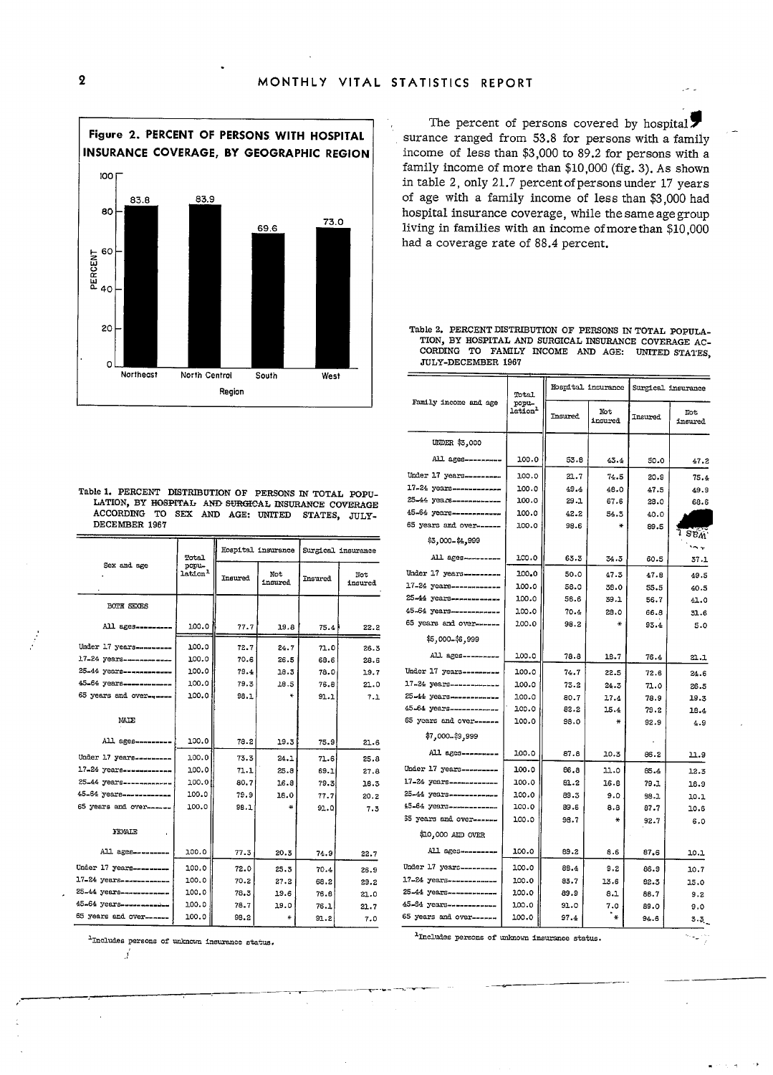

Table 1. PERCENT DISTRIBUTION OF PERSONS IN TOTAL POPU-LATION, BY HOSPITAL AND SURGICAL INSURANCE COVERAGE ACCORDING TO SEX AND AGE: UNITED STATES, JULY-DECEMBER 1967

|                           | Total            | Hospital insurance |                | Surgical insurance |                |
|---------------------------|------------------|--------------------|----------------|--------------------|----------------|
| Sex and age               | popu-<br>lation- | Insured            | Not<br>insured | <b>Tnsured</b>     | Not<br>insured |
| <b>BOTH SEXES</b>         |                  |                    |                |                    |                |
| All ages                  | 100.0            | 77.7               | 19.8           | 75.4               | 22.2           |
| Under 17 years            | 100.0            | 72.7               | 24.7           | 71.0               | 26.3           |
| 17-24 years------------   | 100.0            | 70.6               | 26.5           | 68.6               | 28.6           |
| 25-44 years-------------  | 100.0            | 79.4               | 18.3           | 78.0               | 19.7           |
| 45-64 years------------   | 100.0            | 79.3               | 18.5           | 76.8               | 21.0           |
| 65 years and over------   | 100.0            | 98.1               | ¥              | 91.1               | 7.1            |
| MATE                      |                  |                    |                |                    |                |
| All ages---------         | 100.0            | 78.2               | 19.3           | 75.9               | 21.6           |
| Under 17 years---------   | 100.0            | 73.3               | 24.1           | 71.6               | 25.8           |
| $17-24$ years------------ | 100.0            | 71.1               | 25.8           | 69.1               | 27.8           |
| 25-44 years------------   | 100.0            | 80.7               | 16.8           | 79.3               | 18.3           |
| 45-64 years-----------    | 100.0            | 79.9               | 18.0           | 77.7               | 20.2           |
| 65 years and over-------  | 100.0            | 98.1               | ÷              | 91.0               | 7.3            |
| <b>FEMALE</b>             |                  |                    |                |                    |                |
| All ages --------         | 100.0            | 77.3               | 20.3           | 74.9               | 22.7           |
| Under 17 years---------   | 100.0            | 72.0               | 25.3           | 70.4               | 26.9           |
| 17-24 years------------   | 100.0            | 70.2               | 27.2           | 68.2               | 29.2           |
| 25-44 years------------   | 100.0            | 78.3               | 19.6           | 76.6               | 21.0           |
| 45-64 years ----------    | 100.0            | 76.7               | 19.0           | 76.1               | 21.7           |
| 65 years and over------   | 100.0            | 98.2               | ₩              | 91.2               | 7.0            |

Includes persons of unknown insurance status.

- f

The percent of persons covered by hospital. surance ranged from 53.8 for persons with a family income of less than \$3,000 to 89.2 for persons with a family income of more than \$10,000 (fig. 3). As shown in table 2, only 21.7 percent of persons under 17 years of age with a family income of less than \$3,000 had hospital insurance coverage, while the same age group living in families with an income of more than \$10,000 had a coverage rate of 88.4 percent.

Table 2. PERCENT DISTRIBUTION OF PERSONS IN TOTAL POPULA-TION, BY HOSPITAL AND SURGICAL INSURANCE COVERAGE AC-CORDING TO FAMILY INCOME AND AGE: UNITED STATES, JULY-DECEMBER 1967

|                           | Total                        |         | Hospital insurance | Surgical insurance |                                              |
|---------------------------|------------------------------|---------|--------------------|--------------------|----------------------------------------------|
| Family income and age     | popu-<br>lation <sup>1</sup> | Insured | Not<br>insured     | Insured            | Not<br>insured                               |
| UNDER \$3,000             |                              |         |                    |                    |                                              |
| All. ages---------        | 100.0                        | 53.8    | 43.4               | 50.0               | 47.2                                         |
| Under 17 years---------   | 100.0                        | 21.7    | 74.5               | 20.9               | 75.4                                         |
| 17-24 years------------   | 100.0                        | 49.4    | 48.0               | 47.5               | 49.9                                         |
| 25-44 years------------   | 100.0                        | 29.1    | 67.6               | 28.0               | 68.6                                         |
| 45-64 years-----------    | 100.0                        | 42.2    | 54.3               | 40.0               |                                              |
| 65 years and over------   | 100.0                        | 98.6    | ₩                  | 89.5               |                                              |
| \$3,000-\$4,999           |                              |         |                    |                    | $\mathbf{S} \mathbf{E} \mathbf{M}$<br>$\sim$ |
| All ages ---------        | 100.0                        | 63.3    | 34.3               | 60.5               | 37.1                                         |
| Under 17 years---------   | 100.0                        | 50.0    | 47.3               | 47.8               | 49.5                                         |
| 17-24 years------------   | 100.0                        | 58.0    | 38.0               | 55.5               | 40.5                                         |
| 25-44 years-------------  | 100.0                        | 56.6    | 39.1               | 56.7               | 41.0                                         |
| 45-64 years------------   | 100.0                        | 70.4    | 28.0               | 66.8               | 31.6                                         |
| 65 years and over------   | 100.0                        | 98.2    | ₩                  | 93.4               | 5.0                                          |
| \$5,000-\$6,999           |                              |         |                    |                    |                                              |
| All. ages ---------       | 100.0                        | 78.8    | 18.7               | 76.4               | 21.1                                         |
| Under 17 years---------   | 100.0                        | 74.7    | 22.5               | 72.6               | 24.6                                         |
| 17-24 years ------------- | 100.0                        | 73.2    | 24.3               | 71.0               | 26.5                                         |
| 25-44 years------------   | 100.0                        | 80.7    | 17.4               | 78.9               | 19.3                                         |
| 45-64 years ------------  | 100.0                        | 82.2    | 15.4               | 79.2               | 18.4                                         |
| 65 years and over------   | 100.0                        | 98.0    | ¥                  | 92.9               | 4.9                                          |
| \$7,000-\$9,999           |                              |         |                    |                    |                                              |
| All ages ---------        | 100.0                        | 87.8    | 10.3               | 86.2               | 11.9                                         |
| Under 17 years---------   | 100.0                        | 86.8    | 11.0               | 85.4               | 12.3                                         |
| 17-24 years------------   | 100.0                        | 81.2    | 16.8               | 79.1               | 18.9                                         |
| 25-44 years-------------  | 100.0                        | 89.3    | 9.0                | 58.1               | 10.1                                         |
| 45-64 years-------------  | 100.0                        | 89.6    | 8.8                | 87.7               | 10.6                                         |
| 35 years and over ------  | 100.0                        | 98.7    | ₩                  | 92.7               | 6.0                                          |
| \$10,000 AND OVER         |                              |         |                    |                    |                                              |
| All ages---------         | 100.0                        | 89.2    | 8.6                | 87.6               | 10.1                                         |
| Under 17 years---------   | 100.0                        | 88.4    | 9.2                | 86.9               | 10.7                                         |
| 17-24 years-------------  | 100.0                        | 83.7    | 13.6               | 82.3               | 15.0                                         |
| 25-44 years ------------  | 100.0                        | 89.9    | 8.1                | 88.7               | 9.2                                          |
| 45-64 years-------------  | 100.0                        | 91.0    | 7.0                | 89.0               | 9.0                                          |
| 65 years and over------   | 100.0                        | 97.4    | ۰.⊭                | 94.6               | $3.3$ $-$                                    |
|                           |                              |         |                    |                    |                                              |

Includes persons of unknown insurance status.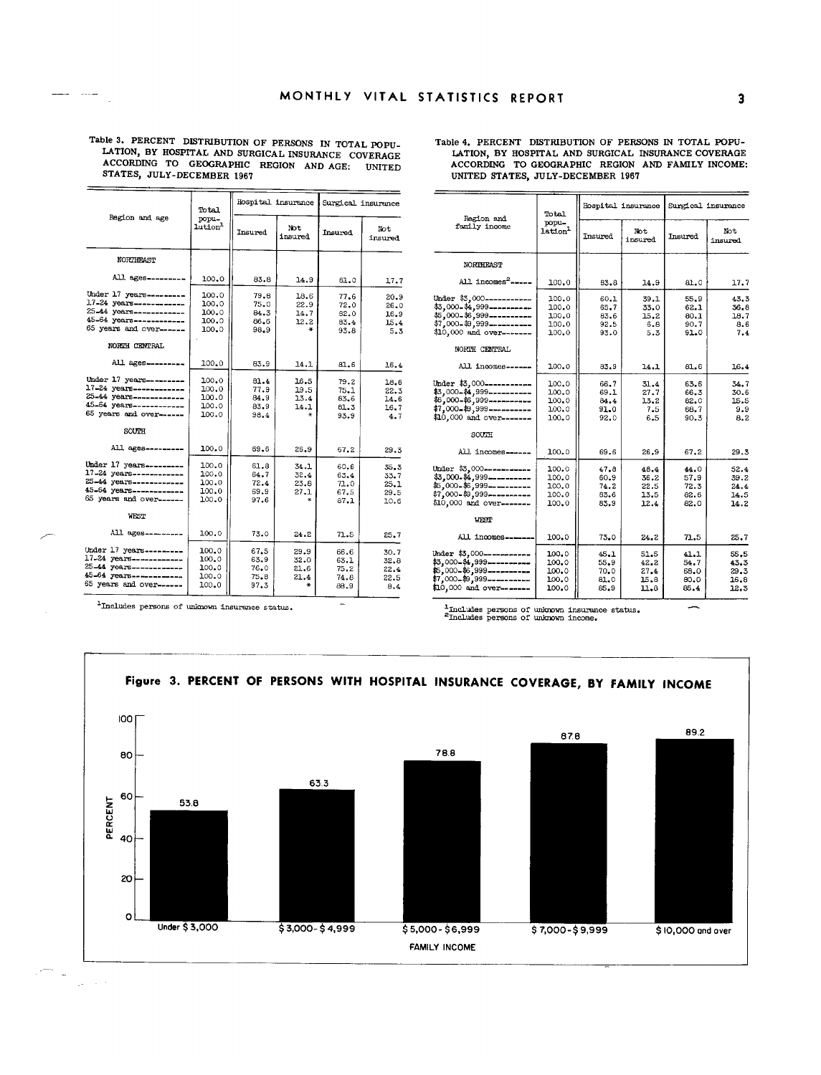Table 3. PERCENT DISTRIBUTION OF PERSONS IN TOTAL POPU-LATION, BY HOSPITAL AND SURGICAL INSURANCE COVERAGE ACCORDING TO GEOGRAPHIC REGION AND AGE: UNITED STATES, JULY-DECEMBER 1967

المستحدث المست

 $\sim$ 

| Region and age                                                                                                                                       | Total<br>popu-<br>lution <sup>1</sup>     |                                          | Hospital insurance                | Surgical insurance                   |                                      |
|------------------------------------------------------------------------------------------------------------------------------------------------------|-------------------------------------------|------------------------------------------|-----------------------------------|--------------------------------------|--------------------------------------|
|                                                                                                                                                      |                                           | Insured                                  | Not<br>insured                    | Insured                              | Not<br>insured                       |
| <b>NORTHEAST</b>                                                                                                                                     |                                           |                                          |                                   |                                      |                                      |
| All ages --------                                                                                                                                    | 100.0                                     | 83.8                                     | 14.9                              | 61.0                                 | 17.7                                 |
| Under 17 years---------<br>17-24 years------------<br>25-44 years------------<br>45-64 years------------<br>65 years and over------<br>NORTH CENTRAL | 100.0<br>100.0<br>100.0<br>100.0<br>100.0 | 79.8<br>75.0<br>84.3<br>86.6<br>98.9     | 18.6<br>22.9<br>14.7<br>12.2<br>÷ | 77.6<br>72.0<br>82.0<br>83.4<br>93.B | 20.9<br>26.0<br>16.9<br>15.4<br>5.3  |
| All ages---------                                                                                                                                    | 100.0                                     | 83.9                                     | 14.1                              | 81.6                                 | 16.4                                 |
| Under 17 years---------<br>17-24 years------------<br>25-44 years------------<br>45-64 years------------<br>65 years and over------<br>SOUTH         | 100.0<br>100.0<br>100.0<br>100.0<br>100.0 | 81.4<br>77.9<br>84.9<br>83.9<br>98.4     | 16.5<br>19.5<br>13.4<br>14.1<br>¥ | 79.2<br>75.1<br>83.6<br>81.3<br>93.9 | 18.6<br>22.3<br>14.6<br>16.7<br>4.7  |
| All ages---------                                                                                                                                    | 100.0                                     | 69.6                                     | 26.9                              | 67.2                                 | 29.3                                 |
| Under 17 years ---------<br>17-24 years-------------<br>25-44 years------------<br>45-64 years------------<br>65 years and over------                | 100.0<br>100.0<br>100.0<br>100.0<br>100.0 | 61.8<br>64.7<br>72.4<br>69.9<br>97.6     | 34.1<br>32.4<br>23.8<br>27.1      | 60.6<br>63.4<br>71.0<br>67.5<br>87.1 | 35.3<br>33.7<br>25.1<br>29.5<br>10.6 |
| <b>WEST</b>                                                                                                                                          |                                           |                                          |                                   |                                      |                                      |
| All ages ---------                                                                                                                                   | 100.0                                     | 73.0                                     | 24.2                              | 71.5                                 | 25.7                                 |
| Under 17 years---------<br>17-24 years------------<br>25-44 years-------------<br>45-64 years------------<br>65 years and over------                 | 100.0<br>100.0<br>100.0<br>100.0<br>100.0 | 67.5<br>63.9<br>76.0<br>$75 - 8$<br>97.3 | 29.9<br>32.0<br>21.6<br>21.4      | 66.6<br>63.1<br>75.2<br>74.8<br>88.9 | 30.7<br>32.8<br>22.4<br>22.5<br>8.4  |

<sup>1</sup>Includes persons of unknown insurance status.

Table 4. PERCENT DISTRIBUTION OF PERSONS IN TOTAL POPU-LATION, BY HOSPITAL AND SURGICAL INSURANCE COVERAGE ACCORDING TO GEOGRAPHIC REGION AND FAMILY INCOME: UNITED STATES, JULY-DECEMBER 1967

| Region and<br>family income                                                                                                                            | Total                                     | Hospital insurance                   |                                      | Surgical insurance                   |                                      |
|--------------------------------------------------------------------------------------------------------------------------------------------------------|-------------------------------------------|--------------------------------------|--------------------------------------|--------------------------------------|--------------------------------------|
|                                                                                                                                                        | popu-<br>lation <sup>1</sup>              | Insured                              | Not<br>insured                       | Insured                              | Not<br>insured                       |
| NORTHEAST                                                                                                                                              |                                           |                                      |                                      |                                      |                                      |
| All incomes <sup>2</sup> -----                                                                                                                         | 100.0                                     | 83.8                                 | 14.9                                 | 81.0                                 | 17.7                                 |
| Under \$3,000-----------<br>\$3,000-\$4,999----------<br>\$5,000-\$6,999----------<br>\$7,000-\$9,999----------<br>\$10,000 and over-------            | 100.0<br>100.0<br>100.0<br>100.0<br>100.0 | 60.1<br>65.7<br>83.6<br>92.5<br>93.0 | 39.1<br>33.0<br>15.2<br>6.8<br>5.3   | 55.9<br>62.1<br>80.1<br>90.7<br>91.0 | 43.3<br>36.8<br>18.7<br>8.6<br>7.4   |
| NORTH CENTRAL<br>All incomes------                                                                                                                     | 100.0                                     | 83.9                                 | 14.1                                 | 81.6                                 | 16.4                                 |
| Under \$3,000-----------<br>\$3,000-\$4,999-----------<br>\$5,000-\$6,999-----------<br>\$7,000-\$9,999----------<br>\$10,000 and over-------<br>SOUTH | 100.0<br>100.0<br>100.0<br>100.0<br>100.0 | 66.7<br>69.1<br>84.4<br>91.0<br>92.0 | 31.4<br>27.7<br>13.2<br>7.5<br>6.5   | 63.6<br>66.3<br>82.0<br>68.7<br>90.3 | 34.7<br>30.6<br>15.5<br>9.9<br>8.2   |
| All incomes------                                                                                                                                      | 100.0                                     | 69.6                                 | 26.9                                 | 67.2                                 | 29.3                                 |
| Under \$3,000-----------<br>\$3,000-\$4,999----------<br>\$5,000-\$6,999----------<br>\$7,000-\$9,999----------<br>\$10,000 and over-------<br>vrst    | 100.0<br>100.0<br>100.0<br>100.0<br>100.0 | 47.8<br>60.9<br>74.2<br>83.6<br>83.9 | 48.4<br>36.2<br>22.5<br>13.5<br>12.4 | 44.0<br>57.9<br>72.3<br>82.6<br>82.0 | 52.4<br>39.2<br>24.4<br>14.5<br>14.2 |
| All incomes ------                                                                                                                                     | 100.0                                     | 73.0                                 | 24.2                                 | 71.5                                 | 25.7                                 |
| Under \$3,000-----------<br>\$3,000-\$4,999----------<br>\$5,000-\$6,999----------<br>$$7,000-$9,999$ -----------<br>\$10,000 and over-------          | 100.0<br>100.0<br>100.0<br>100.0<br>100.0 | 45.1<br>55.9<br>70.0<br>81.0<br>85.9 | 51.5<br>42.2<br>27.4<br>15.8<br>11.8 | 41.1<br>54.7<br>68.0<br>80.0<br>85.4 | 55.5<br>43.3<br>29.3<br>16.8<br>12.3 |

 $\frac{1}{2}$  includes persons of unknown insurance status.  $\frac{2}{2}$  includes persons of unknown income.



 $\sim$